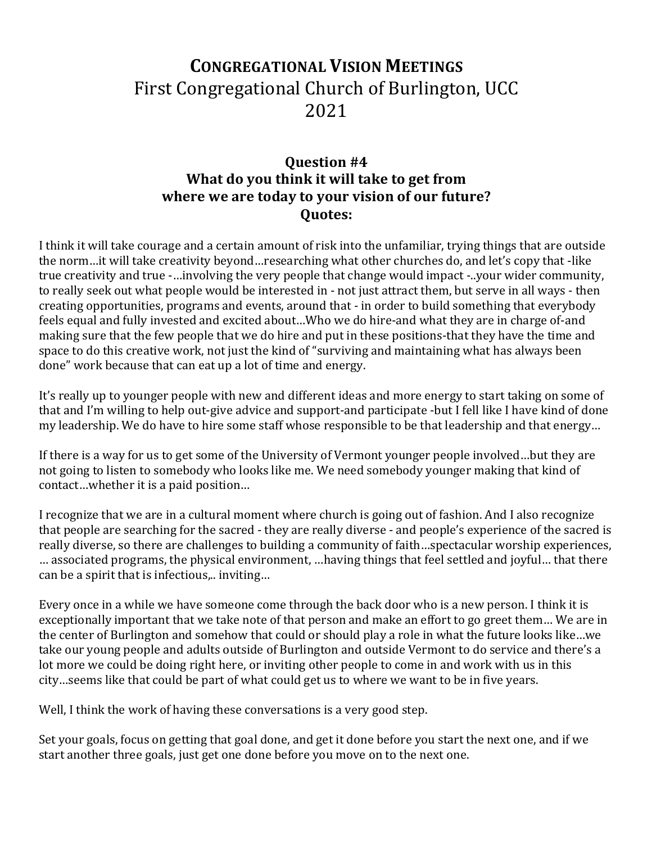## **CONGREGATIONAL VISION MEETINGS** First Congregational Church of Burlington, UCC 2021

## **Question #4 What do you think it will take to get from where we are today to your vision of our future? Quotes:**

I think it will take courage and a certain amount of risk into the unfamiliar, trying things that are outside the norm…it will take creativity beyond…researching what other churches do, and let's copy that -like true creativity and true -…involving the very people that change would impact -..your wider community, to really seek out what people would be interested in - not just attract them, but serve in all ways - then creating opportunities, programs and events, around that - in order to build something that everybody feels equal and fully invested and excited about…Who we do hire-and what they are in charge of-and making sure that the few people that we do hire and put in these positions-that they have the time and space to do this creative work, not just the kind of "surviving and maintaining what has always been done" work because that can eat up a lot of time and energy.

It's really up to younger people with new and different ideas and more energy to start taking on some of that and I'm willing to help out-give advice and support-and participate -but I fell like I have kind of done my leadership. We do have to hire some staff whose responsible to be that leadership and that energy…

If there is a way for us to get some of the University of Vermont younger people involved…but they are not going to listen to somebody who looks like me. We need somebody younger making that kind of contact…whether it is a paid position…

I recognize that we are in a cultural moment where church is going out of fashion. And I also recognize that people are searching for the sacred - they are really diverse - and people's experience of the sacred is really diverse, so there are challenges to building a community of faith…spectacular worship experiences, … associated programs, the physical environment, …having things that feel settled and joyful… that there can be a spirit that is infectious,.. inviting…

Every once in a while we have someone come through the back door who is a new person. I think it is exceptionally important that we take note of that person and make an effort to go greet them… We are in the center of Burlington and somehow that could or should play a role in what the future looks like…we take our young people and adults outside of Burlington and outside Vermont to do service and there's a lot more we could be doing right here, or inviting other people to come in and work with us in this city…seems like that could be part of what could get us to where we want to be in five years.

Well, I think the work of having these conversations is a very good step.

Set your goals, focus on getting that goal done, and get it done before you start the next one, and if we start another three goals, just get one done before you move on to the next one.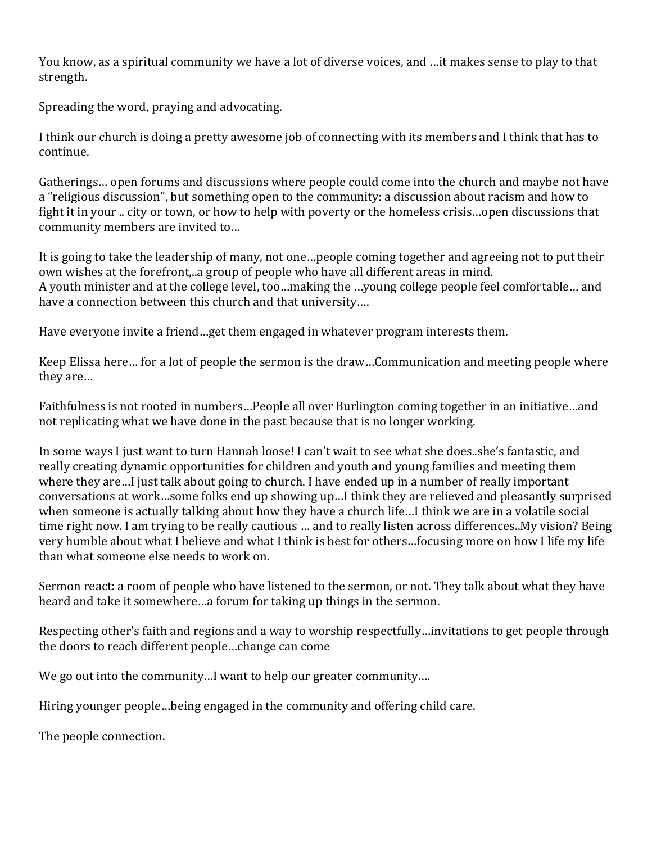You know, as a spiritual community we have a lot of diverse voices, and …it makes sense to play to that strength.

Spreading the word, praying and advocating.

I think our church is doing a pretty awesome job of connecting with its members and I think that has to continue.

Gatherings… open forums and discussions where people could come into the church and maybe not have a "religious discussion", but something open to the community: a discussion about racism and how to fight it in your .. city or town, or how to help with poverty or the homeless crisis…open discussions that community members are invited to…

It is going to take the leadership of many, not one…people coming together and agreeing not to put their own wishes at the forefront,..a group of people who have all different areas in mind. A youth minister and at the college level, too…making the …young college people feel comfortable… and have a connection between this church and that university….

Have everyone invite a friend…get them engaged in whatever program interests them.

Keep Elissa here… for a lot of people the sermon is the draw…Communication and meeting people where they are…

Faithfulness is not rooted in numbers…People all over Burlington coming together in an initiative…and not replicating what we have done in the past because that is no longer working.

In some ways I just want to turn Hannah loose! I can't wait to see what she does..she's fantastic, and really creating dynamic opportunities for children and youth and young families and meeting them where they are…I just talk about going to church. I have ended up in a number of really important conversations at work…some folks end up showing up…I think they are relieved and pleasantly surprised when someone is actually talking about how they have a church life…I think we are in a volatile social time right now. I am trying to be really cautious … and to really listen across differences..My vision? Being very humble about what I believe and what I think is best for others…focusing more on how I life my life than what someone else needs to work on.

Sermon react: a room of people who have listened to the sermon, or not. They talk about what they have heard and take it somewhere…a forum for taking up things in the sermon.

Respecting other's faith and regions and a way to worship respectfully…invitations to get people through the doors to reach different people…change can come

We go out into the community…I want to help our greater community….

Hiring younger people…being engaged in the community and offering child care.

The people connection.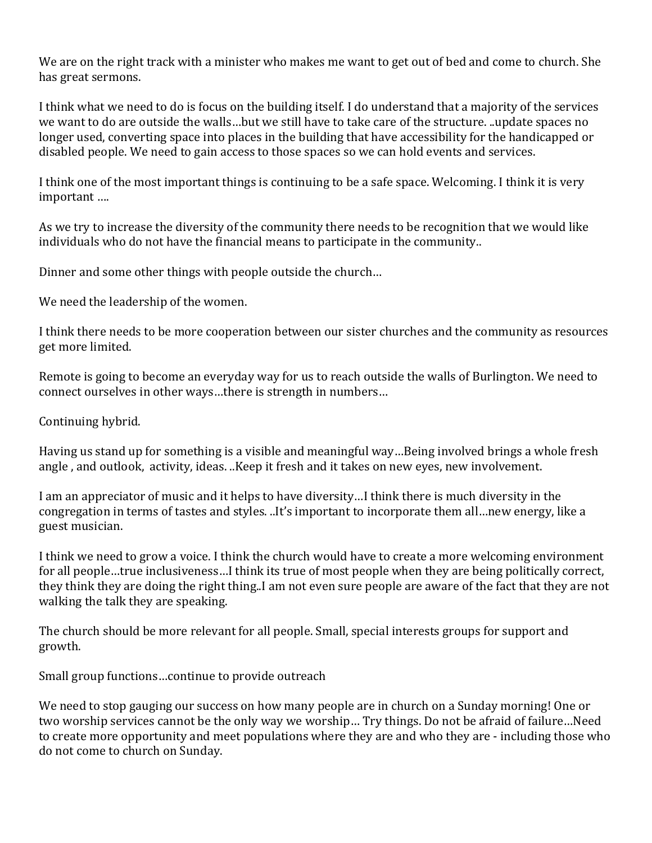We are on the right track with a minister who makes me want to get out of bed and come to church. She has great sermons.

I think what we need to do is focus on the building itself. I do understand that a majority of the services we want to do are outside the walls…but we still have to take care of the structure. ..update spaces no longer used, converting space into places in the building that have accessibility for the handicapped or disabled people. We need to gain access to those spaces so we can hold events and services.

I think one of the most important things is continuing to be a safe space. Welcoming. I think it is very important ….

As we try to increase the diversity of the community there needs to be recognition that we would like individuals who do not have the financial means to participate in the community..

Dinner and some other things with people outside the church…

We need the leadership of the women.

I think there needs to be more cooperation between our sister churches and the community as resources get more limited.

Remote is going to become an everyday way for us to reach outside the walls of Burlington. We need to connect ourselves in other ways…there is strength in numbers…

Continuing hybrid.

Having us stand up for something is a visible and meaningful way…Being involved brings a whole fresh angle, and outlook, activity, ideas. ..Keep it fresh and it takes on new eyes, new involvement.

I am an appreciator of music and it helps to have diversity…I think there is much diversity in the congregation in terms of tastes and styles. ..It's important to incorporate them all…new energy, like a guest musician.

I think we need to grow a voice. I think the church would have to create a more welcoming environment for all people…true inclusiveness…I think its true of most people when they are being politically correct, they think they are doing the right thing..I am not even sure people are aware of the fact that they are not walking the talk they are speaking.

The church should be more relevant for all people. Small, special interests groups for support and growth.

Small group functions…continue to provide outreach

We need to stop gauging our success on how many people are in church on a Sunday morning! One or two worship services cannot be the only way we worship… Try things. Do not be afraid of failure…Need to create more opportunity and meet populations where they are and who they are - including those who do not come to church on Sunday.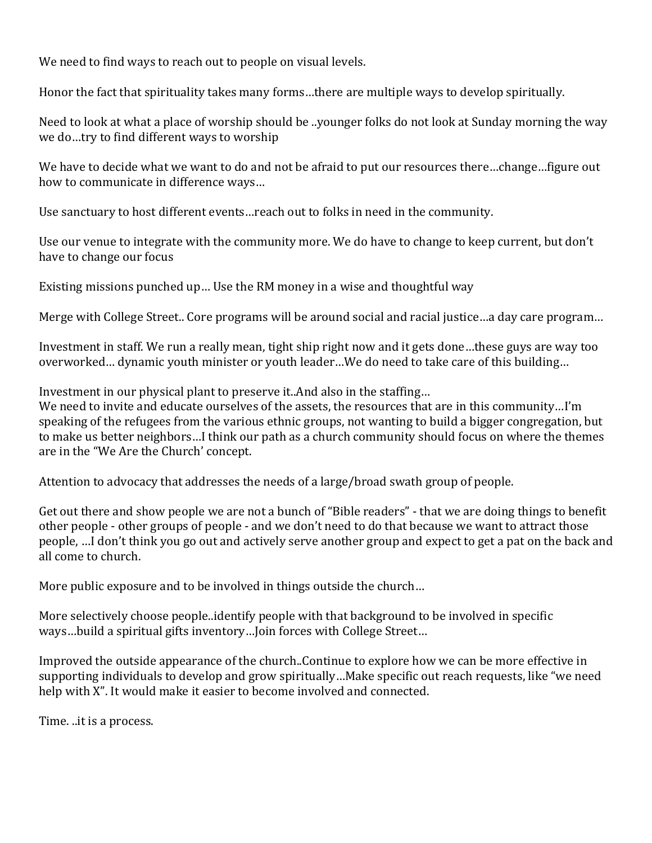We need to find ways to reach out to people on visual levels.

Honor the fact that spirituality takes many forms…there are multiple ways to develop spiritually.

Need to look at what a place of worship should be ..younger folks do not look at Sunday morning the way we do…try to find different ways to worship

We have to decide what we want to do and not be afraid to put our resources there…change…figure out how to communicate in difference ways…

Use sanctuary to host different events…reach out to folks in need in the community.

Use our venue to integrate with the community more. We do have to change to keep current, but don't have to change our focus

Existing missions punched up… Use the RM money in a wise and thoughtful way

Merge with College Street.. Core programs will be around social and racial justice…a day care program…

Investment in staff. We run a really mean, tight ship right now and it gets done…these guys are way too overworked… dynamic youth minister or youth leader…We do need to take care of this building…

Investment in our physical plant to preserve it..And also in the staffing…

We need to invite and educate ourselves of the assets, the resources that are in this community…I'm speaking of the refugees from the various ethnic groups, not wanting to build a bigger congregation, but to make us better neighbors…I think our path as a church community should focus on where the themes are in the "We Are the Church' concept.

Attention to advocacy that addresses the needs of a large/broad swath group of people.

Get out there and show people we are not a bunch of "Bible readers" - that we are doing things to benefit other people - other groups of people - and we don't need to do that because we want to attract those people, …I don't think you go out and actively serve another group and expect to get a pat on the back and all come to church.

More public exposure and to be involved in things outside the church…

More selectively choose people..identify people with that background to be involved in specific ways…build a spiritual gifts inventory…Join forces with College Street…

Improved the outside appearance of the church..Continue to explore how we can be more effective in supporting individuals to develop and grow spiritually…Make specific out reach requests, like "we need help with X". It would make it easier to become involved and connected.

Time. ..it is a process.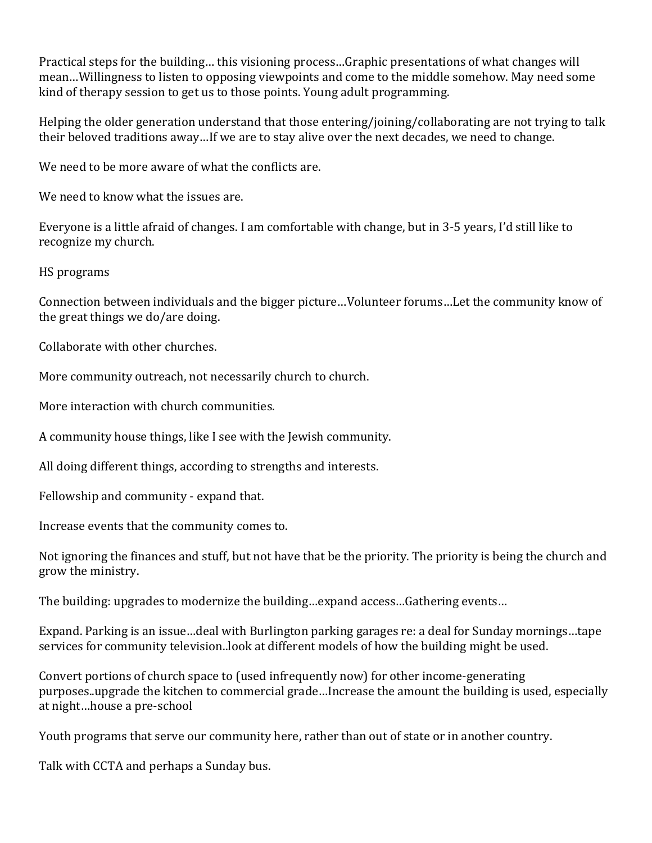Practical steps for the building… this visioning process…Graphic presentations of what changes will mean…Willingness to listen to opposing viewpoints and come to the middle somehow. May need some kind of therapy session to get us to those points. Young adult programming.

Helping the older generation understand that those entering/joining/collaborating are not trying to talk their beloved traditions away…If we are to stay alive over the next decades, we need to change.

We need to be more aware of what the conflicts are.

We need to know what the issues are.

Everyone is a little afraid of changes. I am comfortable with change, but in 3-5 years, I'd still like to recognize my church.

HS programs

Connection between individuals and the bigger picture…Volunteer forums…Let the community know of the great things we do/are doing.

Collaborate with other churches.

More community outreach, not necessarily church to church.

More interaction with church communities.

A community house things, like I see with the Jewish community.

All doing different things, according to strengths and interests.

Fellowship and community - expand that.

Increase events that the community comes to.

Not ignoring the finances and stuff, but not have that be the priority. The priority is being the church and grow the ministry.

The building: upgrades to modernize the building…expand access…Gathering events…

Expand. Parking is an issue…deal with Burlington parking garages re: a deal for Sunday mornings…tape services for community television..look at different models of how the building might be used.

Convert portions of church space to (used infrequently now) for other income-generating purposes..upgrade the kitchen to commercial grade…Increase the amount the building is used, especially at night…house a pre-school

Youth programs that serve our community here, rather than out of state or in another country.

Talk with CCTA and perhaps a Sunday bus.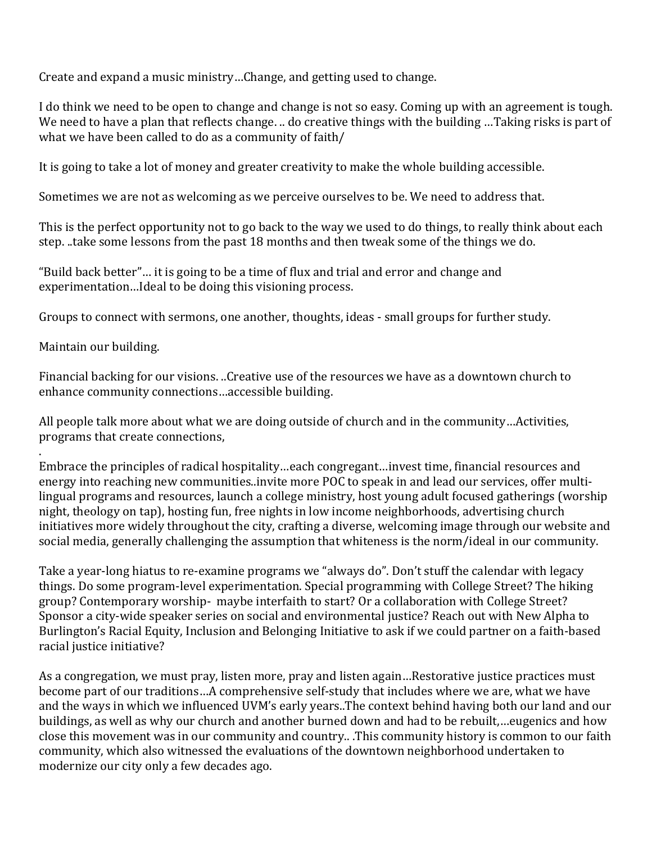Create and expand a music ministry…Change, and getting used to change.

I do think we need to be open to change and change is not so easy. Coming up with an agreement is tough. We need to have a plan that reflects change. .. do creative things with the building …Taking risks is part of what we have been called to do as a community of faith/

It is going to take a lot of money and greater creativity to make the whole building accessible.

Sometimes we are not as welcoming as we perceive ourselves to be. We need to address that.

This is the perfect opportunity not to go back to the way we used to do things, to really think about each step. ..take some lessons from the past 18 months and then tweak some of the things we do.

"Build back better"… it is going to be a time of flux and trial and error and change and experimentation…Ideal to be doing this visioning process.

Groups to connect with sermons, one another, thoughts, ideas - small groups for further study.

Maintain our building.

.

Financial backing for our visions. ..Creative use of the resources we have as a downtown church to enhance community connections…accessible building.

All people talk more about what we are doing outside of church and in the community…Activities, programs that create connections,

Embrace the principles of radical hospitality…each congregant…invest time, financial resources and energy into reaching new communities..invite more POC to speak in and lead our services, offer multilingual programs and resources, launch a college ministry, host young adult focused gatherings (worship night, theology on tap), hosting fun, free nights in low income neighborhoods, advertising church initiatives more widely throughout the city, crafting a diverse, welcoming image through our website and social media, generally challenging the assumption that whiteness is the norm/ideal in our community.

Take a year-long hiatus to re-examine programs we "always do". Don't stuff the calendar with legacy things. Do some program-level experimentation. Special programming with College Street? The hiking group? Contemporary worship- maybe interfaith to start? Or a collaboration with College Street? Sponsor a city-wide speaker series on social and environmental justice? Reach out with New Alpha to Burlington's Racial Equity, Inclusion and Belonging Initiative to ask if we could partner on a faith-based racial justice initiative?

As a congregation, we must pray, listen more, pray and listen again…Restorative justice practices must become part of our traditions…A comprehensive self-study that includes where we are, what we have and the ways in which we influenced UVM's early years..The context behind having both our land and our buildings, as well as why our church and another burned down and had to be rebuilt,…eugenics and how close this movement was in our community and country.. .This community history is common to our faith community, which also witnessed the evaluations of the downtown neighborhood undertaken to modernize our city only a few decades ago.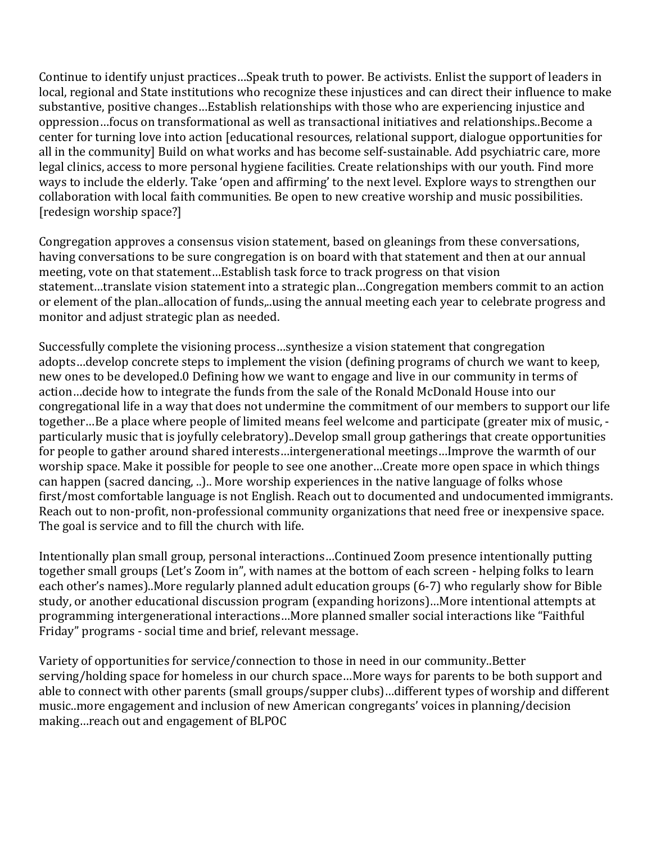Continue to identify unjust practices…Speak truth to power. Be activists. Enlist the support of leaders in local, regional and State institutions who recognize these injustices and can direct their influence to make substantive, positive changes…Establish relationships with those who are experiencing injustice and oppression…focus on transformational as well as transactional initiatives and relationships..Become a center for turning love into action [educational resources, relational support, dialogue opportunities for all in the community] Build on what works and has become self-sustainable. Add psychiatric care, more legal clinics, access to more personal hygiene facilities. Create relationships with our youth. Find more ways to include the elderly. Take 'open and affirming' to the next level. Explore ways to strengthen our collaboration with local faith communities. Be open to new creative worship and music possibilities. [redesign worship space?]

Congregation approves a consensus vision statement, based on gleanings from these conversations, having conversations to be sure congregation is on board with that statement and then at our annual meeting, vote on that statement…Establish task force to track progress on that vision statement…translate vision statement into a strategic plan…Congregation members commit to an action or element of the plan..allocation of funds,..using the annual meeting each year to celebrate progress and monitor and adjust strategic plan as needed.

Successfully complete the visioning process…synthesize a vision statement that congregation adopts…develop concrete steps to implement the vision (defining programs of church we want to keep, new ones to be developed.0 Defining how we want to engage and live in our community in terms of action…decide how to integrate the funds from the sale of the Ronald McDonald House into our congregational life in a way that does not undermine the commitment of our members to support our life together…Be a place where people of limited means feel welcome and participate (greater mix of music, particularly music that is joyfully celebratory)..Develop small group gatherings that create opportunities for people to gather around shared interests…intergenerational meetings…Improve the warmth of our worship space. Make it possible for people to see one another…Create more open space in which things can happen (sacred dancing, ..).. More worship experiences in the native language of folks whose first/most comfortable language is not English. Reach out to documented and undocumented immigrants. Reach out to non-profit, non-professional community organizations that need free or inexpensive space. The goal is service and to fill the church with life.

Intentionally plan small group, personal interactions…Continued Zoom presence intentionally putting together small groups (Let's Zoom in", with names at the bottom of each screen - helping folks to learn each other's names)..More regularly planned adult education groups (6-7) who regularly show for Bible study, or another educational discussion program (expanding horizons)…More intentional attempts at programming intergenerational interactions…More planned smaller social interactions like "Faithful Friday" programs - social time and brief, relevant message.

Variety of opportunities for service/connection to those in need in our community..Better serving/holding space for homeless in our church space…More ways for parents to be both support and able to connect with other parents (small groups/supper clubs)…different types of worship and different music..more engagement and inclusion of new American congregants' voices in planning/decision making…reach out and engagement of BLPOC